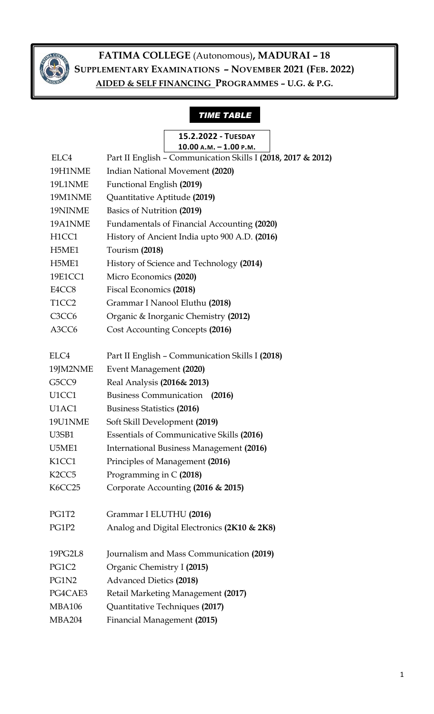

## *TIME TABLE*

|      | 15.2.2022 - TUESDAY                                          |  |
|------|--------------------------------------------------------------|--|
|      | $10.00$ A.M. $-1.00$ P.M.                                    |  |
| ELC4 | Part II English - Communication Skills I (2018, 2017 & 2012) |  |

|                                | $\frac{1}{2}$ and $\frac{1}{2}$ and $\frac{1}{2}$ communication of $\frac{1}{2}$ (2010, 2017) |
|--------------------------------|-----------------------------------------------------------------------------------------------|
| 19H1NME                        | Indian National Movement (2020)                                                               |
| 19L1NME                        | Functional English (2019)                                                                     |
| 19M1NME                        | Quantitative Aptitude (2019)                                                                  |
| 19NINME                        | Basics of Nutrition (2019)                                                                    |
| 19A1NME                        | Fundamentals of Financial Accounting (2020)                                                   |
| H1CC1                          | History of Ancient India upto 900 A.D. (2016)                                                 |
| H5ME1                          | Tourism (2018)                                                                                |
| H5ME1                          | History of Science and Technology (2014)                                                      |
| 19E1CC1                        | Micro Economics (2020)                                                                        |
| E4CC8                          | Fiscal Economics (2018)                                                                       |
| T <sub>1</sub> CC <sub>2</sub> | Grammar I Nanool Eluthu (2018)                                                                |
| C <sub>3</sub> CC <sub>6</sub> | Organic & Inorganic Chemistry (2012)                                                          |
| A3CC6                          | Cost Accounting Concepts (2016)                                                               |
|                                |                                                                                               |
| ELC4                           | Part II English - Communication Skills I (2018)                                               |
| 19JM2NME                       | Event Management (2020)                                                                       |
| G5CC9                          | Real Analysis (2016& 2013)                                                                    |
| U1CC1                          | Business Communication (2016)                                                                 |
| U1AC1                          | <b>Business Statistics (2016)</b>                                                             |
| 19U1NME                        | Soft Skill Development (2019)                                                                 |
| U3SB1                          | <b>Essentials of Communicative Skills (2016)</b>                                              |
| U5ME1                          | International Business Management (2016)                                                      |
| K1CC1                          | Principles of Management (2016)                                                               |
| K <sub>2</sub> CC <sub>5</sub> | Programming in C (2018)                                                                       |
| K6CC25                         | Corporate Accounting (2016 & 2015)                                                            |
|                                |                                                                                               |
| PG1T2                          | Grammar I ELUTHU (2016)                                                                       |
| PG1P2                          | Analog and Digital Electronics (2K10 & 2K8)                                                   |
|                                |                                                                                               |
| 19PG2L8                        | Journalism and Mass Communication (2019)                                                      |
| PG1C2                          | Organic Chemistry I (2015)                                                                    |
| PG1N2                          | <b>Advanced Dietics (2018)</b>                                                                |
| PG4CAE3                        | Retail Marketing Management (2017)                                                            |
| <b>MBA106</b>                  | Quantitative Techniques (2017)                                                                |
| <b>MBA204</b>                  | Financial Management (2015)                                                                   |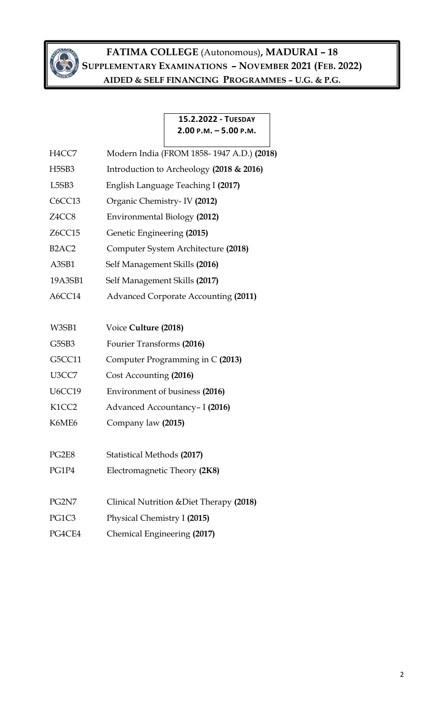

### **15.2.2022 - TUESDAY 2.00 P.M. – 5.00 P.M.**

| H4CC7                          | Modern India (FROM 1858-1947 A.D.) (2018) |
|--------------------------------|-------------------------------------------|
| H <sub>5</sub> SB <sub>3</sub> | Introduction to Archeology (2018 & 2016)  |
| L <sub>5</sub> SB <sub>3</sub> | English Language Teaching I (2017)        |
| C6CC13                         | Organic Chemistry - IV (2012)             |
| Z4CC8                          | Environmental Biology (2012)              |
| Z6CC15                         | Genetic Engineering (2015)                |
| B <sub>2</sub> AC <sub>2</sub> | Computer System Architecture (2018)       |
| A3SB1                          | Self Management Skills (2016)             |
| 19A3SB1                        | Self Management Skills (2017)             |
| A6CC14                         | Advanced Corporate Accounting (2011)      |
|                                |                                           |
| W3SB1                          | Voice Culture (2018)                      |
| G5SB3                          | Fourier Transforms (2016)                 |
| G5CC11                         | Computer Programming in C (2013)          |
| U3CC7                          | Cost Accounting (2016)                    |
| <b>U6CC19</b>                  | Environment of business (2016)            |
| K1CC2                          | Advanced Accountancy- I (2016)            |
| K6ME6                          | Company law (2015)                        |
|                                |                                           |
| PG2E8                          | Statistical Methods (2017)                |
| PG1P4                          | Electromagnetic Theory (2K8)              |
|                                |                                           |
| PG2N7                          | Clinical Nutrition & Diet Therapy (2018)  |
| PG1C3                          | Physical Chemistry I (2015)               |
| PG4CE4                         | Chemical Engineering (2017)               |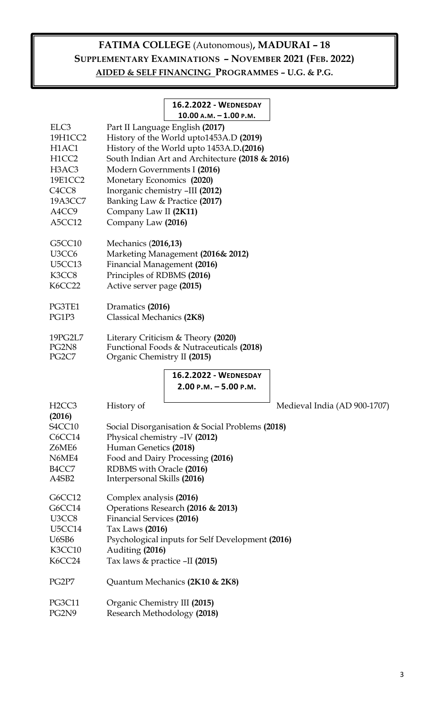### **16.2.2022 - WEDNESDAY 10.00 A.M. – 1.00 P.M.**

| ELC <sub>3</sub>                | Part II Language English (2017)                  |  |  |  |
|---------------------------------|--------------------------------------------------|--|--|--|
| 19H1CC2                         | History of the World upto1453A.D (2019)          |  |  |  |
| H <sub>1</sub> AC <sub>1</sub>  | History of the World upto 1453A.D.(2016)         |  |  |  |
| H1CC2                           | South Indian Art and Architecture (2018 & 2016)  |  |  |  |
| H <sub>3</sub> AC <sub>3</sub>  | Modern Governments I (2016)                      |  |  |  |
| 19E1CC2                         | Monetary Economics (2020)                        |  |  |  |
| C <sub>4</sub> CC <sub>8</sub>  | Inorganic chemistry -III (2012)                  |  |  |  |
| 19A3CC7                         | Banking Law & Practice (2017)                    |  |  |  |
| A4CC9                           | Company Law II (2K11)                            |  |  |  |
| A5CC12                          | Company Law (2016)                               |  |  |  |
| G5CC10                          | Mechanics (2016,13)                              |  |  |  |
| U <sub>3</sub> CC <sub>6</sub>  | Marketing Management (2016& 2012)                |  |  |  |
| U <sub>5</sub> CC <sub>13</sub> | Financial Management (2016)                      |  |  |  |
| K3CC8                           | Principles of RDBMS (2016)                       |  |  |  |
| <b>K6CC22</b>                   | Active server page (2015)                        |  |  |  |
| PG3TE1                          | Dramatics (2016)                                 |  |  |  |
| PG1P3                           | Classical Mechanics (2K8)                        |  |  |  |
| 19PG2L7                         | Literary Criticism & Theory (2020)               |  |  |  |
| PG2N8                           | Functional Foods & Nutraceuticals (2018)         |  |  |  |
| PG <sub>2</sub> C <sub>7</sub>  | Organic Chemistry II (2015)                      |  |  |  |
|                                 | 16.2.2022 - WEDNESDAY                            |  |  |  |
|                                 | $2.00$ P.M. $-5.00$ P.M.                         |  |  |  |
| H <sub>2</sub> CC <sub>3</sub>  | History of<br>Medieval India (AD 900-1707)       |  |  |  |
| (2016)                          |                                                  |  |  |  |
| S <sub>4</sub> CC <sub>10</sub> | Social Disorganisation & Social Problems (2018)  |  |  |  |
| C6CC14                          | Physical chemistry -IV (2012)                    |  |  |  |
| Z6ME6                           | Human Genetics (2018)                            |  |  |  |
| N6ME4                           | Food and Dairy Processing (2016)                 |  |  |  |
| B <sub>4</sub> CC <sub>7</sub>  | RDBMS with Oracle (2016)                         |  |  |  |
| A4SB2                           | Interpersonal Skills (2016)                      |  |  |  |
| G6CC12                          | Complex analysis (2016)                          |  |  |  |
| G6CC14                          | Operations Research (2016 & 2013)                |  |  |  |
| U3CC8                           | <b>Financial Services (2016)</b>                 |  |  |  |
| U5CC14                          | Tax Laws (2016)                                  |  |  |  |
| U <sub>6</sub> SB <sub>6</sub>  | Psychological inputs for Self Development (2016) |  |  |  |
| K3CC10                          | Auditing (2016)                                  |  |  |  |
| K6CC24                          | Tax laws & practice -II (2015)                   |  |  |  |
| PG2P7                           | Quantum Mechanics (2K10 & 2K8)                   |  |  |  |
| <b>PG3C11</b>                   | Organic Chemistry III (2015)                     |  |  |  |
| PG2N9                           | Research Methodology (2018)                      |  |  |  |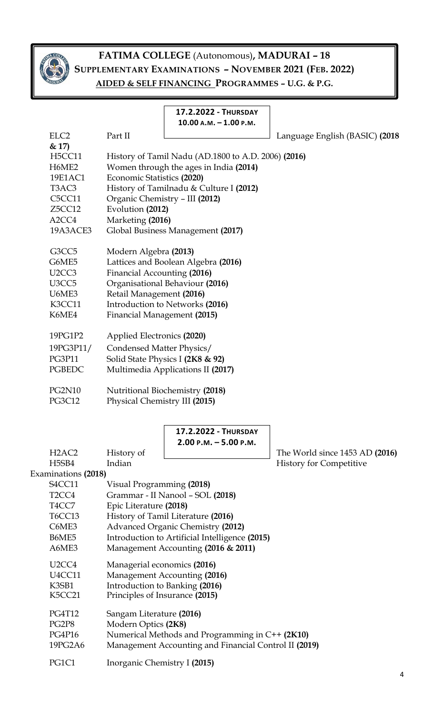

#### **17.2.2022 - THURSDAY 10.00 A.M. – 1.00 P.M.**

ELC2 Part II Language English (BASIC) (2018

| & 17)<br><b>H5CC11</b><br>H <sub>6</sub> ME <sub>2</sub><br>19E1AC1<br>T <sub>3</sub> AC <sub>3</sub><br>C <sub>5</sub> CC <sub>11</sub><br>Z5CC12<br>A <sub>2</sub> CC <sub>4</sub><br>19A3ACE3                                                                                  | Economic Statistics (2020)<br>Evolution (2012)<br>Marketing (2016)                                                                                                                              | History of Tamil Nadu (AD.1800 to A.D. 2006) (2016)<br>Women through the ages in India (2014)<br>History of Tamilnadu & Culture I (2012)<br>Organic Chemistry - III (2012)<br>Global Business Management (2017)                                                                                                            |                                                                      |
|-----------------------------------------------------------------------------------------------------------------------------------------------------------------------------------------------------------------------------------------------------------------------------------|-------------------------------------------------------------------------------------------------------------------------------------------------------------------------------------------------|----------------------------------------------------------------------------------------------------------------------------------------------------------------------------------------------------------------------------------------------------------------------------------------------------------------------------|----------------------------------------------------------------------|
| G3CC5<br>G6ME5                                                                                                                                                                                                                                                                    | Modern Algebra (2013)                                                                                                                                                                           | Lattices and Boolean Algebra (2016)                                                                                                                                                                                                                                                                                        |                                                                      |
| U <sub>2</sub> CC <sub>3</sub>                                                                                                                                                                                                                                                    | Financial Accounting (2016)                                                                                                                                                                     |                                                                                                                                                                                                                                                                                                                            |                                                                      |
| U <sub>3</sub> CC <sub>5</sub>                                                                                                                                                                                                                                                    | Organisational Behaviour (2016)                                                                                                                                                                 |                                                                                                                                                                                                                                                                                                                            |                                                                      |
| U6ME3<br>K3CC11                                                                                                                                                                                                                                                                   | Retail Management (2016)<br>Introduction to Networks (2016)                                                                                                                                     |                                                                                                                                                                                                                                                                                                                            |                                                                      |
| K6ME4                                                                                                                                                                                                                                                                             | Financial Management (2015)                                                                                                                                                                     |                                                                                                                                                                                                                                                                                                                            |                                                                      |
|                                                                                                                                                                                                                                                                                   |                                                                                                                                                                                                 |                                                                                                                                                                                                                                                                                                                            |                                                                      |
| 19PG1P2                                                                                                                                                                                                                                                                           | Applied Electronics (2020)                                                                                                                                                                      |                                                                                                                                                                                                                                                                                                                            |                                                                      |
| 19PG3P11/                                                                                                                                                                                                                                                                         |                                                                                                                                                                                                 |                                                                                                                                                                                                                                                                                                                            |                                                                      |
| <b>PG3P11</b>                                                                                                                                                                                                                                                                     | Condensed Matter Physics/<br>Solid State Physics I (2K8 & 92)                                                                                                                                   |                                                                                                                                                                                                                                                                                                                            |                                                                      |
| <b>PGBEDC</b>                                                                                                                                                                                                                                                                     | Multimedia Applications II (2017)                                                                                                                                                               |                                                                                                                                                                                                                                                                                                                            |                                                                      |
|                                                                                                                                                                                                                                                                                   |                                                                                                                                                                                                 |                                                                                                                                                                                                                                                                                                                            |                                                                      |
| <b>PG2N10</b>                                                                                                                                                                                                                                                                     |                                                                                                                                                                                                 | Nutritional Biochemistry (2018)                                                                                                                                                                                                                                                                                            |                                                                      |
| <b>PG3C12</b>                                                                                                                                                                                                                                                                     | Physical Chemistry III (2015)                                                                                                                                                                   |                                                                                                                                                                                                                                                                                                                            |                                                                      |
| H <sub>2</sub> AC <sub>2</sub><br>H <sub>5</sub> SB <sub>4</sub><br>Examinations (2018)<br>S4CC11<br>T <sub>2</sub> CC <sub>4</sub><br>T4CC7<br><b>T6CC13</b><br>C6ME3<br>B6ME5<br>A6ME3<br>U <sub>2</sub> CC <sub>4</sub><br>U4CC11<br>K3SB1<br>K5CC21<br><b>PG4T12</b><br>PG2P8 | History of<br>Indian<br>Visual Programming (2018)<br>Epic Literature (2018)<br>Managerial economics (2016)<br>Principles of Insurance (2015)<br>Sangam Literature (2016)<br>Modern Optics (2K8) | 17.2.2022 - THURSDAY<br>$2.00$ P.M. $-5.00$ P.M.<br>Grammar - II Nanool - SOL (2018)<br>History of Tamil Literature (2016)<br>Advanced Organic Chemistry (2012)<br>Introduction to Artificial Intelligence (2015)<br>Management Accounting (2016 & 2011)<br>Management Accounting (2016)<br>Introduction to Banking (2016) | The World since $1453$ AD $(2016)$<br><b>History for Competitive</b> |
| PG4P16                                                                                                                                                                                                                                                                            | Numerical Methods and Programming in C++ (2K10)                                                                                                                                                 |                                                                                                                                                                                                                                                                                                                            |                                                                      |
| 19PG2A6                                                                                                                                                                                                                                                                           | Management Accounting and Financial Control II (2019)                                                                                                                                           |                                                                                                                                                                                                                                                                                                                            |                                                                      |
| PG1C1                                                                                                                                                                                                                                                                             | Inorganic Chemistry I (2015)                                                                                                                                                                    |                                                                                                                                                                                                                                                                                                                            |                                                                      |